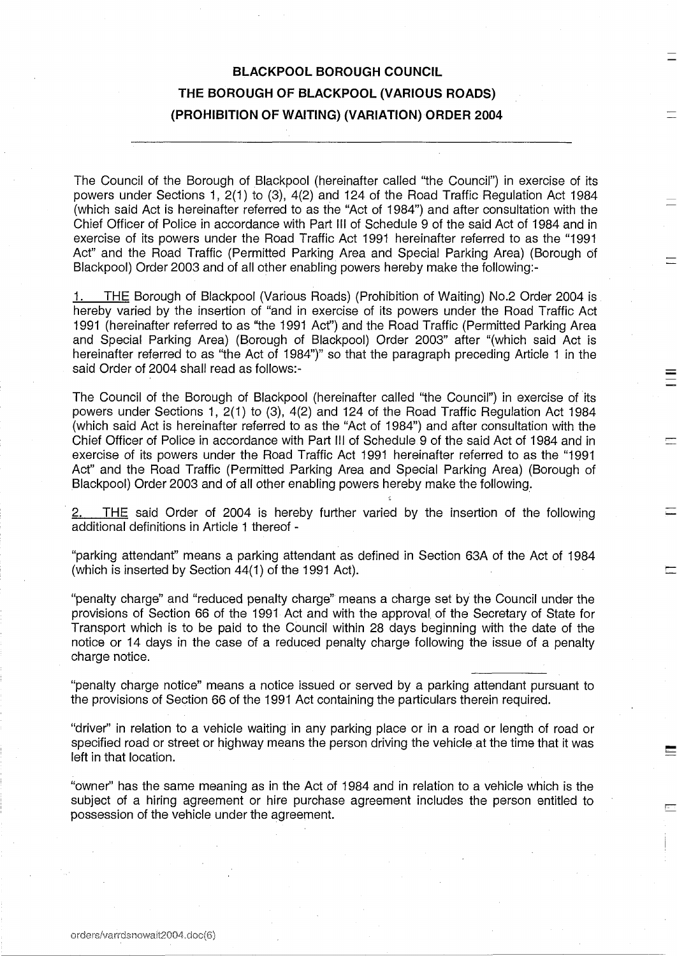## **BLACKPOOL BOROUGH COUNCIL THE BOROUGH OF BLACKPOOL (VARIOUS ROADS) (PROHIBITION OF WAITING) (VARIATION) ORDER 2004**

The Council of the Borough of Blackpool (hereinafter called "the Council") in exercise of its powers under Sections 1, 2(1) to (3), 4(2) and 124 of the Road Traffic Regulation Act 1984 (which said Act is hereinafter referred to as the "Act of 1984") and after consultation with the Chief Officer of Police in accordance with Part III of Schedule 9 of the said Act of 1984 and in exercise of its powers under the Road Traffic Act 1991 hereinafter referred to as the "1991 Act" and the Road Traffic (Permitted Parking Area and Special Parking Area) (Borough of Blackpool) Order 2003 and of all other enabling powers hereby make the following:-

1. THE Borough of Blackpool (Various Roads) (Prohibition of Waiting) No.2 Order 2004 is hereby varied by the insertion of "and in exercise of its powers under the Road Traffic Act 1991 (hereinafter referred to as "the 1991 Act") and the Road Traffic (Permitted Parking Area and Special Parking Area) (Borough of Blackpool) Order 2003" after "(which said Act is hereinafter referred to as "the Act of 1984")" so that the paragraph preceding Article 1 in the said Order of 2004 shall read as follows:-

The Council of the Borough of Blackpool (hereinafter called "the Council") in exercise of its powers under Sections 1, 2(1) to (3), 4(2) and 124 of the Road Traffic Regulation Act 1984 (which said Act is hereinafter referred to as the "Act of 1984") and after consultation with the Chief Officer of Police in accordance with Part III of Schedule 9 of the said Act of 1984 and in exercise of its powers under the Road Traffic Act 1991 hereinafter referred to as the "1991 Act" and the Road Traffic (Permitted Parking Area and Special Parking Area) (Borough of Blackpool) Order 2003 and of all other enabling powers hereby make the following.

2. THE said Order of 2004 is hereby further varied by the insertion of the following additional definitions in Article 1 thereof -

"parking attendant" means a parking attendant as defined in Section 63A of the Act of 1984 (which is inserted by Section 44(1) of the 1991 Act).

"penalty charge" and "reduced penalty charge" means a charge set by the Council under the provisions of Section 66 of the 1991 Act and with the approval, of the Secretary of State for Transport which is to be paid to the Council within 28 days beginning with the date of the notice or 14 days in the case of a reduced penalty charge following the issue of a penalty charge notice.

"penalty charge notice" means a notice issued or served by a parking attendant pursuant to the provisions of Section 66 of the 1991 Act containing the particulars therein required.

"driver" in relation to a vehicle waiting in any parking place or in a road or length of road or specified road or street or highway means the person driving the vehicle at the time that it was left in that location.

"owner" has the same meaning as in the Act of 1984 and in relation to a vehicle which is the subject of a hiring agreement or hire purchase agreement includes the person entitled to possession of the vehicle under the agreement.